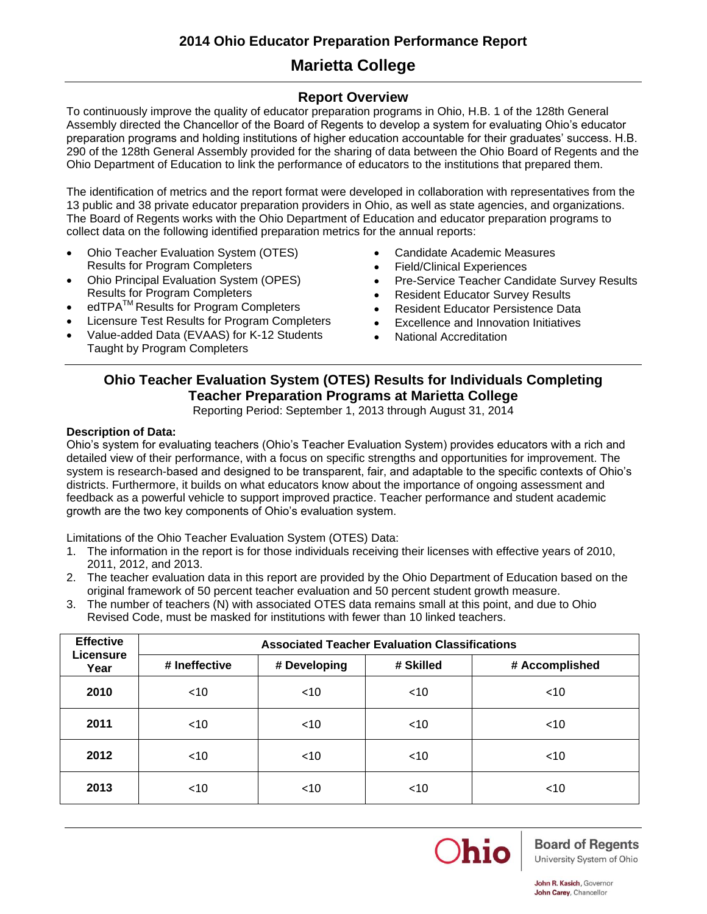# **Marietta College**

## **Report Overview**

To continuously improve the quality of educator preparation programs in Ohio, H.B. 1 of the 128th General Assembly directed the Chancellor of the Board of Regents to develop a system for evaluating Ohio's educator preparation programs and holding institutions of higher education accountable for their graduates' success. H.B. 290 of the 128th General Assembly provided for the sharing of data between the Ohio Board of Regents and the Ohio Department of Education to link the performance of educators to the institutions that prepared them.

The identification of metrics and the report format were developed in collaboration with representatives from the 13 public and 38 private educator preparation providers in Ohio, as well as state agencies, and organizations. The Board of Regents works with the Ohio Department of Education and educator preparation programs to collect data on the following identified preparation metrics for the annual reports:

- Ohio Teacher Evaluation System (OTES) Results for Program Completers
- Ohio Principal Evaluation System (OPES) Results for Program Completers
- edTPA<sup>™</sup> Results for Program Completers
- Licensure Test Results for Program Completers
- Value-added Data (EVAAS) for K-12 Students Taught by Program Completers
- Candidate Academic Measures
- Field/Clinical Experiences
- Pre-Service Teacher Candidate Survey Results
- Resident Educator Survey Results
- **Resident Educator Persistence Data**
- Excellence and Innovation Initiatives
- National Accreditation

### **Ohio Teacher Evaluation System (OTES) Results for Individuals Completing Teacher Preparation Programs at Marietta College** Reporting Period: September 1, 2013 through August 31, 2014

### **Description of Data:**

Ohio's system for evaluating teachers (Ohio's Teacher Evaluation System) provides educators with a rich and detailed view of their performance, with a focus on specific strengths and opportunities for improvement. The system is research-based and designed to be transparent, fair, and adaptable to the specific contexts of Ohio's districts. Furthermore, it builds on what educators know about the importance of ongoing assessment and feedback as a powerful vehicle to support improved practice. Teacher performance and student academic growth are the two key components of Ohio's evaluation system.

Limitations of the Ohio Teacher Evaluation System (OTES) Data:

- 1. The information in the report is for those individuals receiving their licenses with effective years of 2010, 2011, 2012, and 2013.
- 2. The teacher evaluation data in this report are provided by the Ohio Department of Education based on the original framework of 50 percent teacher evaluation and 50 percent student growth measure.
- 3. The number of teachers (N) with associated OTES data remains small at this point, and due to Ohio Revised Code, must be masked for institutions with fewer than 10 linked teachers.

| <b>Effective</b>  | <b>Associated Teacher Evaluation Classifications</b> |              |           |                |  |  |  |  |  |  |  |
|-------------------|------------------------------------------------------|--------------|-----------|----------------|--|--|--|--|--|--|--|
| Licensure<br>Year | # Ineffective                                        | # Developing | # Skilled | # Accomplished |  |  |  |  |  |  |  |
| 2010              | $<$ 10                                               | $<$ 10       | $<$ 10    | $<$ 10         |  |  |  |  |  |  |  |
| 2011              | $<$ 10                                               | $<$ 10       | $<$ 10    | $<$ 10         |  |  |  |  |  |  |  |
| 2012              | $<$ 10                                               | $<$ 10       | $<$ 10    | $<$ 10         |  |  |  |  |  |  |  |
| 2013              | $<$ 10                                               | $<$ 10       | $<$ 10    | $<$ 10         |  |  |  |  |  |  |  |



# **Board of Regents**

University System of Ohio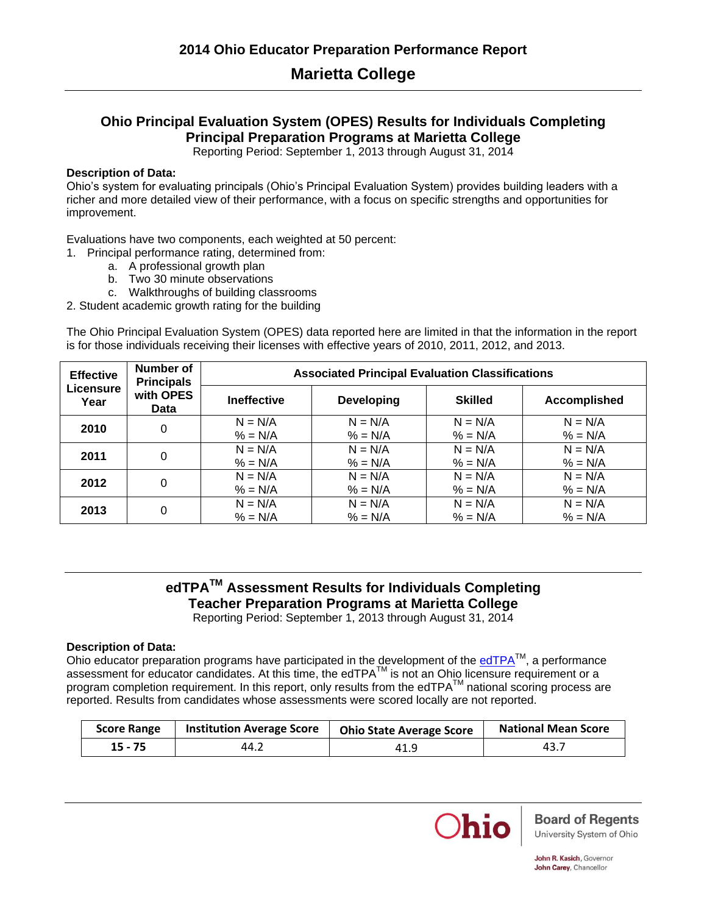# **Marietta College**

## **Ohio Principal Evaluation System (OPES) Results for Individuals Completing Principal Preparation Programs at Marietta College**

Reporting Period: September 1, 2013 through August 31, 2014

### **Description of Data:**

Ohio's system for evaluating principals (Ohio's Principal Evaluation System) provides building leaders with a richer and more detailed view of their performance, with a focus on specific strengths and opportunities for improvement.

Evaluations have two components, each weighted at 50 percent:

1. Principal performance rating, determined from:

- a. A professional growth plan
- b. Two 30 minute observations
- c. Walkthroughs of building classrooms
- 2. Student academic growth rating for the building

The Ohio Principal Evaluation System (OPES) data reported here are limited in that the information in the report is for those individuals receiving their licenses with effective years of 2010, 2011, 2012, and 2013.

| <b>Effective</b>  | Number of<br><b>Principals</b>                 |           |                   | <b>Associated Principal Evaluation Classifications</b> |                     |  |  |  |
|-------------------|------------------------------------------------|-----------|-------------------|--------------------------------------------------------|---------------------|--|--|--|
| Licensure<br>Year | with OPES<br><b>Ineffective</b><br><b>Data</b> |           | <b>Developing</b> | <b>Skilled</b>                                         | <b>Accomplished</b> |  |  |  |
| 2010              | $\Omega$                                       | $N = N/A$ | $N = N/A$         | $N = N/A$                                              | $N = N/A$           |  |  |  |
|                   |                                                | $% = N/A$ | $% = N/A$         | $% = N/A$                                              | $% = N/A$           |  |  |  |
| 2011              | 0                                              | $N = N/A$ | $N = N/A$         | $N = N/A$                                              | $N = N/A$           |  |  |  |
|                   |                                                | $% = N/A$ | $% = N/A$         | $% = N/A$                                              | $% = N/A$           |  |  |  |
| 2012              | 0                                              | $N = N/A$ | $N = N/A$         | $N = N/A$                                              | $N = N/A$           |  |  |  |
|                   |                                                | $% = N/A$ | $% = N/A$         | $% = N/A$                                              | $% = N/A$           |  |  |  |
|                   |                                                | $N = N/A$ | $N = N/A$         | $N = N/A$                                              | $N = N/A$           |  |  |  |
| 2013              | 0                                              | $% = N/A$ | $% = N/A$         | $% = N/A$                                              | $% = N/A$           |  |  |  |

## **edTPATM Assessment Results for Individuals Completing Teacher Preparation Programs at Marietta College** Reporting Period: September 1, 2013 through August 31, 2014

### **Description of Data:**

Ohio educator preparation programs have participated in the development of the  $edTPA<sup>TM</sup>$ , a performance assessment for educator candidates. At this time, the edTPA™ is not an Ohio licensure requirement or a program completion requirement. In this report, only results from the edTPA $^{TM}$  national scoring process are reported. Results from candidates whose assessments were scored locally are not reported.

| <b>Score Range</b> | <b>Institution Average Score</b> | <b>Ohio State Average Score</b> | <b>National Mean Score</b> |
|--------------------|----------------------------------|---------------------------------|----------------------------|
| $15 - 75$          | 44.2                             | 41.9                            | 43.7                       |

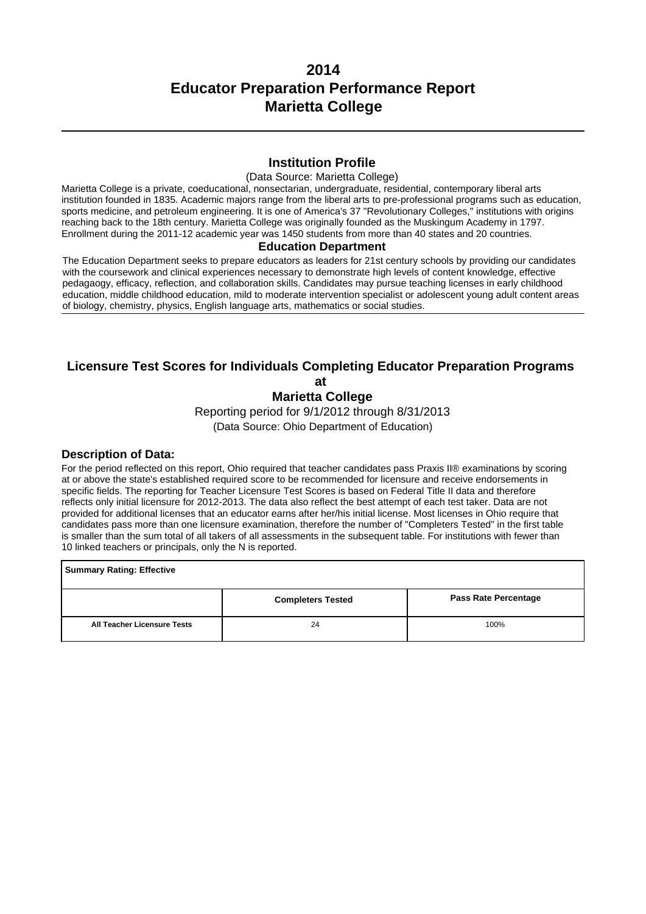## **Institution Profile**

#### (Data Source: Marietta College)

Marietta College is a private, coeducational, nonsectarian, undergraduate, residential, contemporary liberal arts institution founded in 1835. Academic majors range from the liberal arts to pre-professional programs such as education, sports medicine, and petroleum engineering. It is one of America's 37 "Revolutionary Colleges," institutions with origins reaching back to the 18th century. Marietta College was originally founded as the Muskingum Academy in 1797. Enrollment during the 2011-12 academic year was 1450 students from more than 40 states and 20 countries.

#### **Education Department**

The Education Department seeks to prepare educators as leaders for 21st century schools by providing our candidates with the coursework and clinical experiences necessary to demonstrate high levels of content knowledge, effective pedagaogy, efficacy, reflection, and collaboration skills. Candidates may pursue teaching licenses in early childhood education, middle childhood education, mild to moderate intervention specialist or adolescent young adult content areas of biology, chemistry, physics, English language arts, mathematics or social studies.

## **Licensure Test Scores for Individuals Completing Educator Preparation Programs at**

**Marietta College**

Reporting period for 9/1/2012 through 8/31/2013

(Data Source: Ohio Department of Education)

#### **Description of Data:**

For the period reflected on this report, Ohio required that teacher candidates pass Praxis II® examinations by scoring at or above the state's established required score to be recommended for licensure and receive endorsements in specific fields. The reporting for Teacher Licensure Test Scores is based on Federal Title II data and therefore reflects only initial licensure for 2012-2013. The data also reflect the best attempt of each test taker. Data are not provided for additional licenses that an educator earns after her/his initial license. Most licenses in Ohio require that candidates pass more than one licensure examination, therefore the number of "Completers Tested" in the first table is smaller than the sum total of all takers of all assessments in the subsequent table. For institutions with fewer than 10 linked teachers or principals, only the N is reported.

**Summary Rating: Effective Completers Tested**  Pass Rate Percentage **All Teacher Licensure Tests** 24 24 100%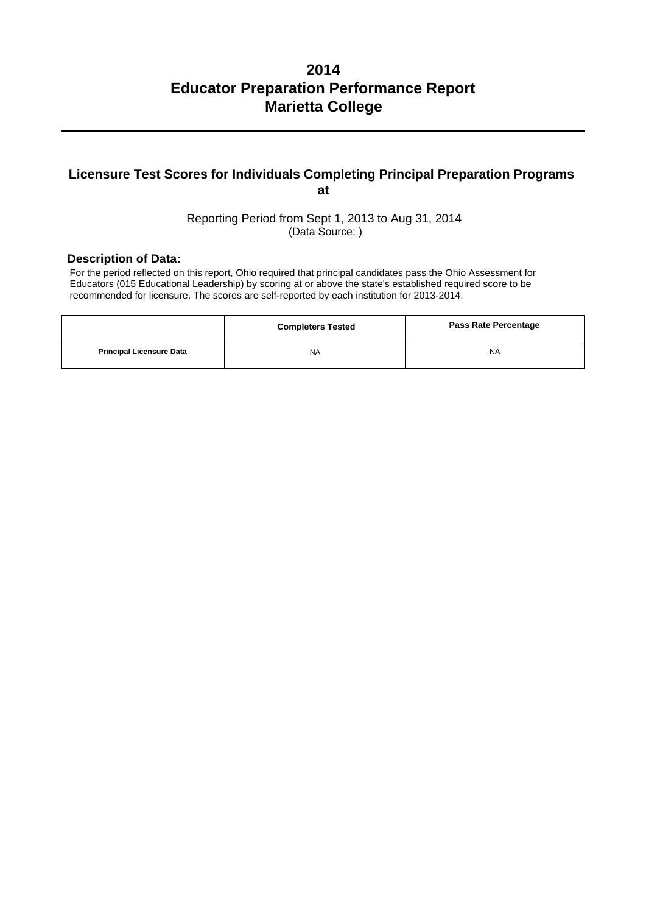## **Licensure Test Scores for Individuals Completing Principal Preparation Programs at**

Reporting Period from Sept 1, 2013 to Aug 31, 2014 (Data Source: )

### **Description of Data:**

For the period reflected on this report, Ohio required that principal candidates pass the Ohio Assessment for Educators (015 Educational Leadership) by scoring at or above the state's established required score to be recommended for licensure. The scores are self-reported by each institution for 2013-2014.

|                                 | <b>Completers Tested</b> | <b>Pass Rate Percentage</b> |
|---------------------------------|--------------------------|-----------------------------|
| <b>Principal Licensure Data</b> | <b>NA</b>                | <b>NA</b>                   |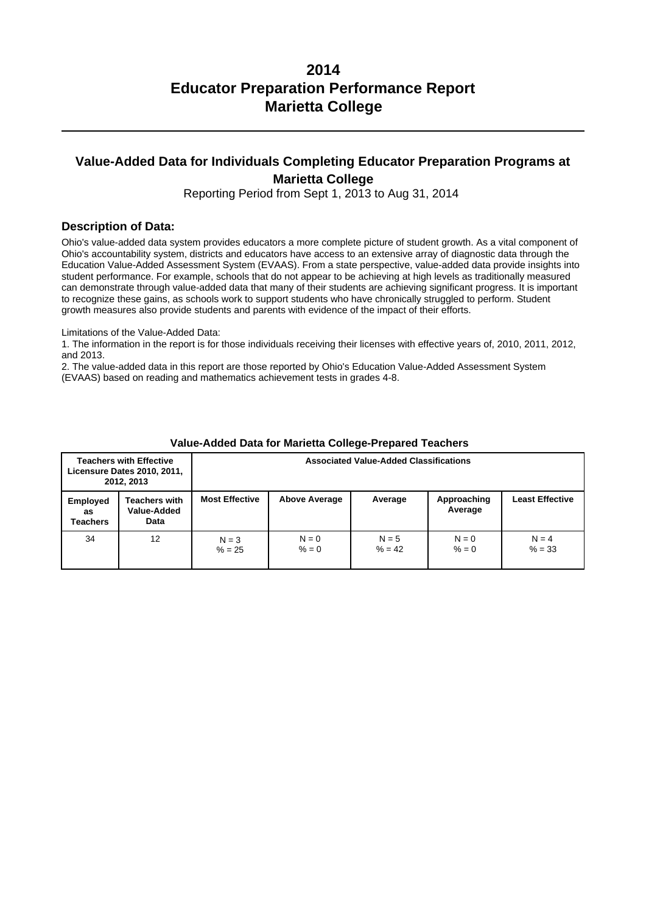# **Value-Added Data for Individuals Completing Educator Preparation Programs at Marietta College**

Reporting Period from Sept 1, 2013 to Aug 31, 2014

#### **Description of Data:**

Ohio's value-added data system provides educators a more complete picture of student growth. As a vital component of Ohio's accountability system, districts and educators have access to an extensive array of diagnostic data through the Education Value-Added Assessment System (EVAAS). From a state perspective, value-added data provide insights into student performance. For example, schools that do not appear to be achieving at high levels as traditionally measured can demonstrate through value-added data that many of their students are achieving significant progress. It is important to recognize these gains, as schools work to support students who have chronically struggled to perform. Student growth measures also provide students and parents with evidence of the impact of their efforts.

Limitations of the Value-Added Data:

1. The information in the report is for those individuals receiving their licenses with effective years of, 2010, 2011, 2012, and 2013.

2. The value-added data in this report are those reported by Ohio's Education Value-Added Assessment System (EVAAS) based on reading and mathematics achievement tests in grades 4-8.

|                                   | <b>Teachers with Effective</b><br>Licensure Dates 2010, 2011,<br>2012, 2013 |                       | <b>Associated Value-Added Classifications</b> |                     |                        |                        |
|-----------------------------------|-----------------------------------------------------------------------------|-----------------------|-----------------------------------------------|---------------------|------------------------|------------------------|
| <b>Employed</b><br>as<br>Teachers | Teachers with<br>Value-Added<br>Data                                        | <b>Most Effective</b> | <b>Above Average</b>                          | Average             | Approaching<br>Average | <b>Least Effective</b> |
| 34                                | 12                                                                          | $N = 3$<br>$% = 25$   | $N = 0$<br>$% = 0$                            | $N = 5$<br>$% = 42$ | $N = 0$<br>$% = 0$     | $N = 4$<br>$% = 33$    |

#### **Value-Added Data for Marietta College-Prepared Teachers**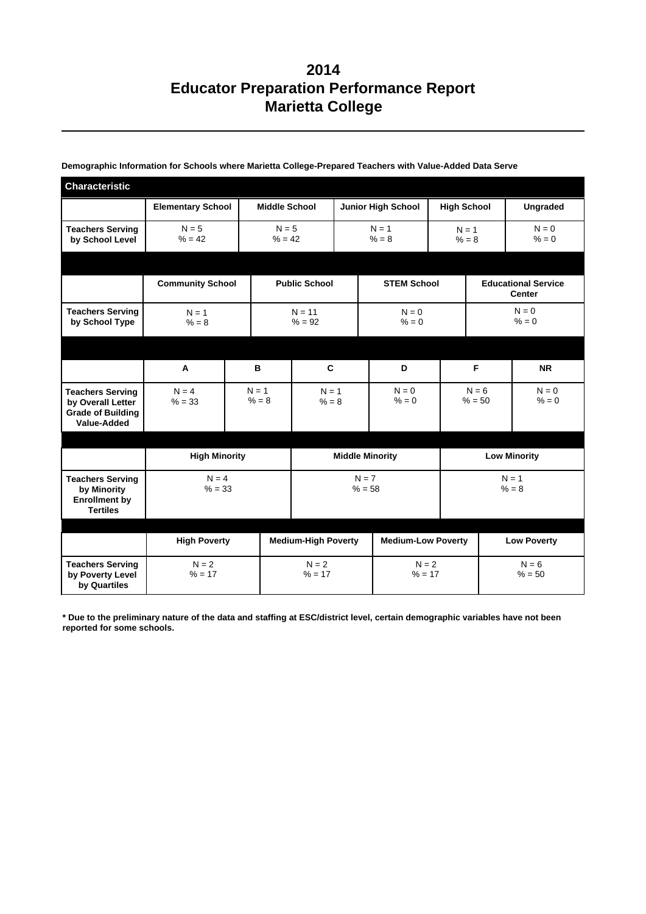| <b>Characteristic</b>                                                                   |                          |                      |                            |                           |                           |                     |                     |                                             |  |
|-----------------------------------------------------------------------------------------|--------------------------|----------------------|----------------------------|---------------------------|---------------------------|---------------------|---------------------|---------------------------------------------|--|
|                                                                                         | <b>Elementary School</b> | <b>Middle School</b> |                            | <b>Junior High School</b> |                           |                     | <b>High School</b>  | <b>Ungraded</b>                             |  |
| <b>Teachers Serving</b><br>by School Level                                              | $N = 5$<br>$% = 42$      | $N = 5$<br>$% = 42$  |                            | $N = 1$<br>$% = 8$        |                           |                     | $N = 1$<br>$% = 8$  | $N = 0$<br>$% = 0$                          |  |
|                                                                                         |                          |                      |                            |                           |                           |                     |                     |                                             |  |
|                                                                                         | <b>Community School</b>  |                      | <b>Public School</b>       | <b>STEM School</b>        |                           |                     |                     | <b>Educational Service</b><br><b>Center</b> |  |
| <b>Teachers Serving</b><br>by School Type                                               | $N = 1$<br>$% = 8$       |                      | $N = 11$<br>$% = 92$       |                           | $N = 0$<br>$% = 0$        |                     |                     | $N = 0$<br>$% = 0$                          |  |
|                                                                                         |                          |                      |                            |                           |                           |                     |                     |                                             |  |
|                                                                                         | A                        | в                    | C                          |                           | D                         |                     |                     | <b>NR</b>                                   |  |
| <b>Teachers Serving</b><br>by Overall Letter<br><b>Grade of Building</b><br>Value-Added | $N = 4$<br>$% = 33$      | $N = 1$<br>$% = 8$   | $N = 1$<br>$% = 8$         |                           | $N = 0$<br>$% = 0$        | $N = 6$<br>$% = 50$ |                     | $N = 0$<br>$% = 0$                          |  |
|                                                                                         |                          |                      |                            |                           |                           |                     |                     |                                             |  |
|                                                                                         | <b>High Minority</b>     |                      |                            | <b>Middle Minority</b>    |                           |                     | <b>Low Minority</b> |                                             |  |
| <b>Teachers Serving</b><br>by Minority<br><b>Enrollment by</b><br><b>Tertiles</b>       | $N = 4$<br>$% = 33$      |                      |                            |                           | $N = 7$<br>$% = 58$       |                     |                     | $N = 1$<br>$% = 8$                          |  |
|                                                                                         |                          |                      |                            |                           |                           |                     |                     |                                             |  |
|                                                                                         | <b>High Poverty</b>      |                      | <b>Medium-High Poverty</b> |                           | <b>Medium-Low Poverty</b> |                     |                     | <b>Low Poverty</b>                          |  |
| <b>Teachers Serving</b><br>by Poverty Level<br>by Quartiles                             | $N = 2$<br>$% = 17$      |                      | $N = 2$<br>$% = 17$        |                           | $N = 2$<br>$% = 17$       |                     |                     | $N = 6$<br>$% = 50$                         |  |

**Demographic Information for Schools where Marietta College-Prepared Teachers with Value-Added Data Serve**

**\* Due to the preliminary nature of the data and staffing at ESC/district level, certain demographic variables have not been reported for some schools.**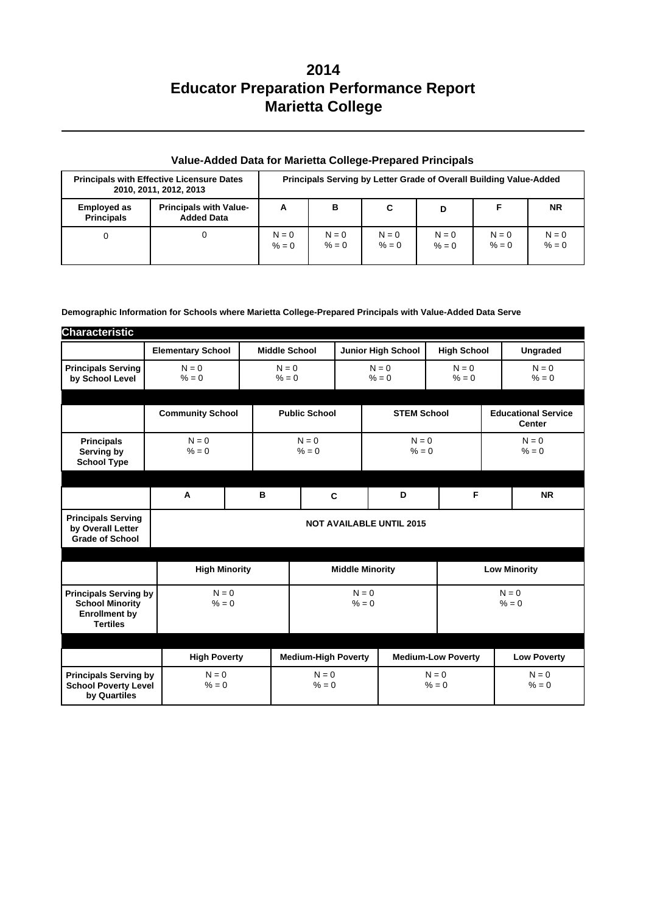| <b>Principals with Effective Licensure Dates</b><br>2010, 2011, 2012, 2013 |                                                    |                    |                    | Principals Serving by Letter Grade of Overall Building Value-Added |                    |                    |                    |
|----------------------------------------------------------------------------|----------------------------------------------------|--------------------|--------------------|--------------------------------------------------------------------|--------------------|--------------------|--------------------|
| <b>Employed as</b><br><b>Principals</b>                                    | <b>Principals with Value-</b><br><b>Added Data</b> | A                  | в                  | C                                                                  | D                  |                    | <b>NR</b>          |
| 0                                                                          |                                                    | $N = 0$<br>$% = 0$ | $N = 0$<br>$% = 0$ | $N = 0$<br>$% = 0$                                                 | $N = 0$<br>$% = 0$ | $N = 0$<br>$% = 0$ | $N = 0$<br>$% = 0$ |

## **Value-Added Data for Marietta College-Prepared Principals**

#### **Demographic Information for Schools where Marietta College-Prepared Principals with Value-Added Data Serve**

| <b>Characteristic</b>                                                                             |                          |                      |                      |                            |                                          |  |                                             |                           |                     |
|---------------------------------------------------------------------------------------------------|--------------------------|----------------------|----------------------|----------------------------|------------------------------------------|--|---------------------------------------------|---------------------------|---------------------|
|                                                                                                   | <b>Elementary School</b> |                      | <b>Middle School</b> |                            |                                          |  | <b>Junior High School</b>                   | <b>High School</b>        | <b>Ungraded</b>     |
| <b>Principals Serving</b><br>by School Level                                                      | $N = 0$<br>$% = 0$       |                      | $N = 0$<br>$% = 0$   |                            | $N = 0$<br>$N = 0$<br>$% = 0$<br>$% = 0$ |  | $N = 0$<br>$% = 0$                          |                           |                     |
|                                                                                                   | <b>Community School</b>  |                      | <b>Public School</b> |                            | <b>STEM School</b>                       |  | <b>Educational Service</b><br><b>Center</b> |                           |                     |
| <b>Principals</b><br>Serving by<br><b>School Type</b>                                             | $N = 0$<br>$% = 0$       |                      | $N = 0$<br>$% = 0$   |                            | $N = 0$<br>$% = 0$                       |  | $N = 0$<br>$% = 0$                          |                           |                     |
|                                                                                                   |                          |                      |                      |                            |                                          |  |                                             |                           |                     |
|                                                                                                   | A                        |                      | B                    |                            | C                                        |  | D                                           | F                         | <b>NR</b>           |
| <b>Principals Serving</b><br>by Overall Letter<br><b>Grade of School</b>                          |                          |                      |                      |                            |                                          |  | <b>NOT AVAILABLE UNTIL 2015</b>             |                           |                     |
|                                                                                                   |                          |                      |                      |                            |                                          |  |                                             |                           |                     |
|                                                                                                   |                          | <b>High Minority</b> |                      |                            | <b>Middle Minority</b>                   |  |                                             |                           | <b>Low Minority</b> |
| <b>Principals Serving by</b><br><b>School Minority</b><br><b>Enrollment by</b><br><b>Tertiles</b> |                          | $N = 0$<br>$% = 0$   |                      | $N = 0$<br>$% = 0$         |                                          |  |                                             | $N = 0$<br>$% = 0$        |                     |
|                                                                                                   |                          |                      |                      |                            |                                          |  |                                             |                           |                     |
|                                                                                                   | <b>High Poverty</b>      |                      |                      | <b>Medium-High Poverty</b> |                                          |  |                                             | <b>Medium-Low Poverty</b> | <b>Low Poverty</b>  |
| <b>Principals Serving by</b><br><b>School Poverty Level</b><br>by Quartiles                       | $N = 0$<br>$% = 0$       |                      | $N = 0$<br>$% = 0$   |                            | $N = 0$<br>$% = 0$                       |  | $N = 0$<br>$% = 0$                          |                           |                     |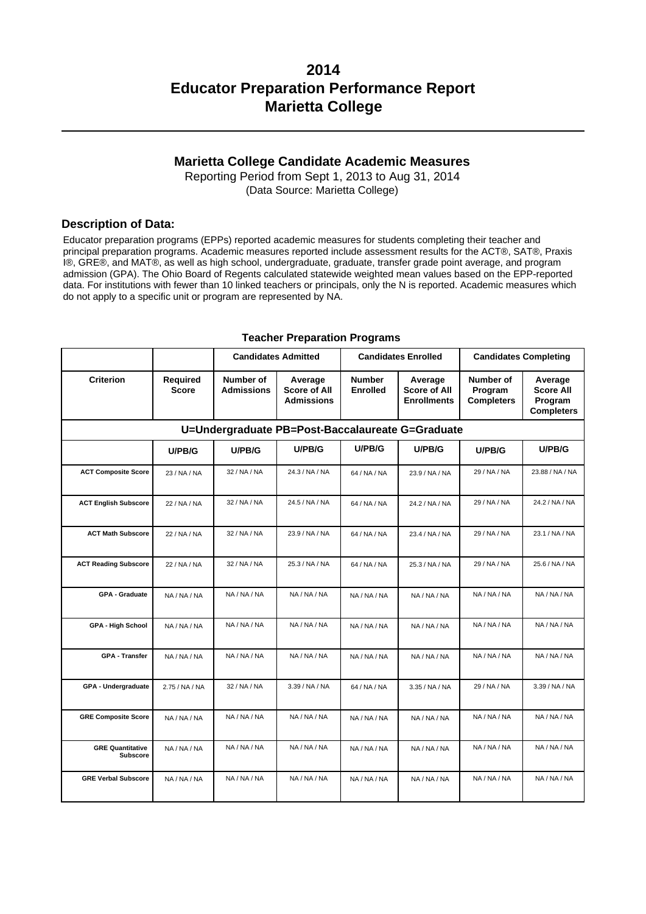## **Marietta College Candidate Academic Measures**

Reporting Period from Sept 1, 2013 to Aug 31, 2014 (Data Source: Marietta College)

#### **Description of Data:**

Educator preparation programs (EPPs) reported academic measures for students completing their teacher and principal preparation programs. Academic measures reported include assessment results for the ACT®, SAT®, Praxis I®, GRE®, and MAT®, as well as high school, undergraduate, graduate, transfer grade point average, and program admission (GPA). The Ohio Board of Regents calculated statewide weighted mean values based on the EPP-reported data. For institutions with fewer than 10 linked teachers or principals, only the N is reported. Academic measures which do not apply to a specific unit or program are represented by NA.

|                                            |                                 | <b>Candidates Admitted</b>            |                                                     |                                  | <b>Candidates Enrolled</b>                           | <b>Candidates Completing</b>              |                                                             |
|--------------------------------------------|---------------------------------|---------------------------------------|-----------------------------------------------------|----------------------------------|------------------------------------------------------|-------------------------------------------|-------------------------------------------------------------|
| <b>Criterion</b>                           | <b>Required</b><br><b>Score</b> | <b>Number of</b><br><b>Admissions</b> | Average<br><b>Score of All</b><br><b>Admissions</b> | <b>Number</b><br><b>Enrolled</b> | Average<br><b>Score of All</b><br><b>Enrollments</b> | Number of<br>Program<br><b>Completers</b> | Average<br><b>Score All</b><br>Program<br><b>Completers</b> |
|                                            |                                 |                                       | U=Undergraduate PB=Post-Baccalaureate G=Graduate    |                                  |                                                      |                                           |                                                             |
|                                            | U/PB/G                          | U/PB/G                                | U/PB/G                                              | U/PB/G                           | U/PB/G                                               | U/PB/G                                    | U/PB/G                                                      |
| <b>ACT Composite Score</b>                 | 23 / NA / NA                    | 32 / NA / NA                          | 24.3 / NA / NA                                      | 64 / NA / NA                     | 23.9 / NA / NA                                       | 29 / NA / NA                              | 23.88 / NA / NA                                             |
| <b>ACT English Subscore</b>                | 22 / NA / NA                    | 32 / NA / NA                          | 24.5 / NA / NA                                      | 64 / NA / NA                     | 24.2 / NA / NA                                       | 29 / NA / NA                              | 24.2 / NA / NA                                              |
| <b>ACT Math Subscore</b>                   | 22 / NA / NA                    | 32 / NA / NA                          | 23.9 / NA / NA                                      | 64 / NA / NA                     | 23.4 / NA / NA                                       | 29 / NA / NA                              | 23.1 / NA / NA                                              |
| <b>ACT Reading Subscore</b>                | 22 / NA / NA                    | 32 / NA / NA                          | 25.3 / NA / NA                                      | 64 / NA / NA                     | 25.3 / NA / NA                                       | 29 / NA / NA                              | 25.6 / NA / NA                                              |
| <b>GPA - Graduate</b>                      | NA / NA / NA                    | NA / NA / NA                          | NA / NA / NA                                        | NA/NA/NA                         | NA / NA / NA                                         | NA / NA / NA                              | NA / NA / NA                                                |
| <b>GPA - High School</b>                   | NA / NA / NA                    | NA / NA / NA                          | NA / NA / NA                                        | NA / NA / NA                     | NA / NA / NA                                         | NA / NA / NA                              | NA / NA / NA                                                |
| <b>GPA - Transfer</b>                      | NA / NA / NA                    | NA / NA / NA                          | NA / NA / NA                                        | NA / NA / NA                     | NA / NA / NA                                         | NA / NA / NA                              | NA / NA / NA                                                |
| GPA - Undergraduate                        | 2.75 / NA / NA                  | 32 / NA / NA                          | 3.39 / NA / NA                                      | 64 / NA / NA                     | 3.35 / NA / NA                                       | 29 / NA / NA                              | 3.39 / NA / NA                                              |
| <b>GRE Composite Score</b>                 | NA / NA / NA                    | NA / NA / NA                          | NA / NA / NA                                        | NA / NA / NA                     | NA / NA / NA                                         | NA / NA / NA                              | NA / NA / NA                                                |
| <b>GRE Quantitative</b><br><b>Subscore</b> | NA / NA / NA                    | NA / NA / NA                          | NA / NA / NA                                        | NA / NA / NA                     | NA / NA / NA                                         | NA / NA / NA                              | NA / NA / NA                                                |
| <b>GRE Verbal Subscore</b>                 | NA / NA / NA                    | NA / NA / NA                          | NA / NA / NA                                        | NA/NA/NA                         | NA / NA / NA                                         | NA / NA / NA                              | NA / NA / NA                                                |

#### **Teacher Preparation Programs**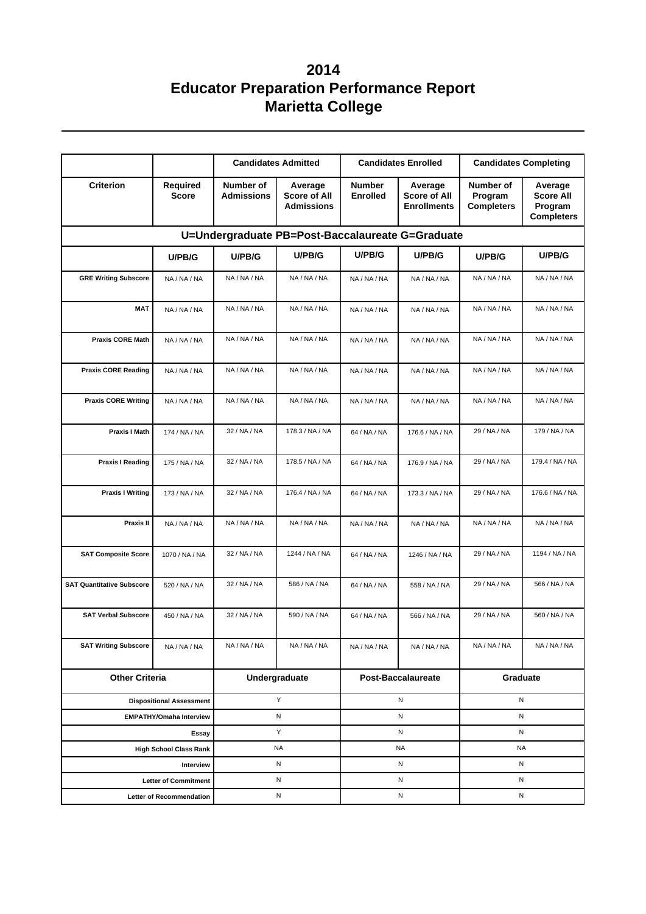|                                                  |                                        |                                                                                       | <b>Candidates Admitted</b> |                                  | <b>Candidates Enrolled</b>                           | <b>Candidates Completing</b>              |                                                             |  |  |  |
|--------------------------------------------------|----------------------------------------|---------------------------------------------------------------------------------------|----------------------------|----------------------------------|------------------------------------------------------|-------------------------------------------|-------------------------------------------------------------|--|--|--|
| <b>Criterion</b>                                 | <b>Required</b><br><b>Score</b>        | Number of<br>Average<br><b>Admissions</b><br><b>Score of All</b><br><b>Admissions</b> |                            | <b>Number</b><br><b>Enrolled</b> | Average<br><b>Score of All</b><br><b>Enrollments</b> | Number of<br>Program<br><b>Completers</b> | Average<br><b>Score All</b><br>Program<br><b>Completers</b> |  |  |  |
| U=Undergraduate PB=Post-Baccalaureate G=Graduate |                                        |                                                                                       |                            |                                  |                                                      |                                           |                                                             |  |  |  |
|                                                  | U/PB/G                                 | U/PB/G                                                                                | U/PB/G                     | U/PB/G                           | U/PB/G                                               | U/PB/G                                    | U/PB/G                                                      |  |  |  |
| <b>GRE Writing Subscore</b>                      | NA / NA / NA                           | NA / NA / NA                                                                          | NA / NA / NA               | NA / NA / NA                     | NA / NA / NA                                         | NA / NA / NA                              | NA / NA / NA                                                |  |  |  |
| <b>MAT</b>                                       | NA / NA / NA                           | NA / NA / NA                                                                          | NA / NA / NA               | NA/NA/NA                         | NA / NA / NA                                         | NA / NA / NA                              | NA / NA / NA                                                |  |  |  |
| <b>Praxis CORE Math</b>                          | NA / NA / NA                           | NA / NA / NA                                                                          | NA / NA / NA               | NA / NA / NA                     | NA / NA / NA                                         | NA / NA / NA                              | NA / NA / NA                                                |  |  |  |
| <b>Praxis CORE Reading</b>                       | NA / NA / NA                           | NA / NA / NA                                                                          | NA / NA / NA               | NA / NA / NA                     | NA / NA / NA                                         | NA / NA / NA                              | NA / NA / NA                                                |  |  |  |
| <b>Praxis CORE Writing</b>                       | NA / NA / NA                           | NA / NA / NA                                                                          | NA / NA / NA               | NA / NA / NA                     | NA / NA / NA                                         | NA / NA / NA                              | NA / NA / NA                                                |  |  |  |
| Praxis I Math                                    | 174 / NA / NA                          | 32 / NA / NA                                                                          | 178.3 / NA / NA            | 64 / NA / NA                     | 176.6 / NA / NA                                      | 29 / NA / NA                              | 179 / NA / NA                                               |  |  |  |
| <b>Praxis I Reading</b>                          | 175 / NA / NA                          | 32 / NA / NA                                                                          | 178.5 / NA / NA            | 64 / NA / NA                     | 176.9 / NA / NA                                      | 29 / NA / NA                              | 179.4 / NA / NA                                             |  |  |  |
| <b>Praxis I Writing</b>                          | 173 / NA / NA                          | 32 / NA / NA                                                                          | 176.4 / NA / NA            | 64 / NA / NA                     | 173.3 / NA / NA                                      | 29 / NA / NA                              | 176.6 / NA / NA                                             |  |  |  |
| Praxis II                                        | NA / NA / NA                           | NA / NA / NA                                                                          | NA / NA / NA               | NA/NA/NA                         | NA / NA / NA                                         | NA / NA / NA                              | NA / NA / NA                                                |  |  |  |
| <b>SAT Composite Score</b>                       | 1070 / NA / NA                         | 32 / NA / NA                                                                          | 1244 / NA / NA             | 64 / NA / NA                     | 1246 / NA / NA                                       | 29 / NA / NA                              | 1194 / NA / NA                                              |  |  |  |
| <b>SAT Quantitative Subscore</b>                 | 520 / NA / NA                          | 32 / NA / NA                                                                          | 586 / NA / NA              | 64 / NA / NA                     | 558 / NA / NA                                        | 29 / NA / NA                              | 566 / NA / NA                                               |  |  |  |
| <b>SAT Verbal Subscore</b>                       | 450 / NA / NA                          | 32 / NA / NA                                                                          | 590 / NA / NA              | 64 / NA / NA                     | 566 / NA / NA                                        | 29 / NA / NA                              | 560 / NA / NA                                               |  |  |  |
| <b>SAT Writing Subscore</b>                      | NA / NA / NA                           | NA / NA / NA                                                                          | NA / NA / NA               | NA / NA / NA                     | NA / NA / NA                                         | NA / NA / NA                              | NA / NA / NA                                                |  |  |  |
| <b>Other Criteria</b>                            |                                        |                                                                                       | Undergraduate              |                                  | Post-Baccalaureate                                   | Graduate                                  |                                                             |  |  |  |
| <b>Dispositional Assessment</b>                  |                                        |                                                                                       | Υ                          |                                  | N                                                    | Ν                                         |                                                             |  |  |  |
|                                                  | <b>EMPATHY/Omaha Interview</b>         |                                                                                       | N                          |                                  | N                                                    | Ν                                         |                                                             |  |  |  |
|                                                  | Essay<br><b>High School Class Rank</b> |                                                                                       | Y<br>NA                    |                                  | N<br><b>NA</b>                                       | N<br><b>NA</b>                            |                                                             |  |  |  |
|                                                  | Interview                              |                                                                                       | N                          |                                  | Ν                                                    | N                                         |                                                             |  |  |  |
|                                                  | <b>Letter of Commitment</b>            |                                                                                       | Ν                          |                                  | Ν                                                    | Ν                                         |                                                             |  |  |  |
| Letter of Recommendation                         |                                        |                                                                                       | N                          |                                  | N                                                    | N                                         |                                                             |  |  |  |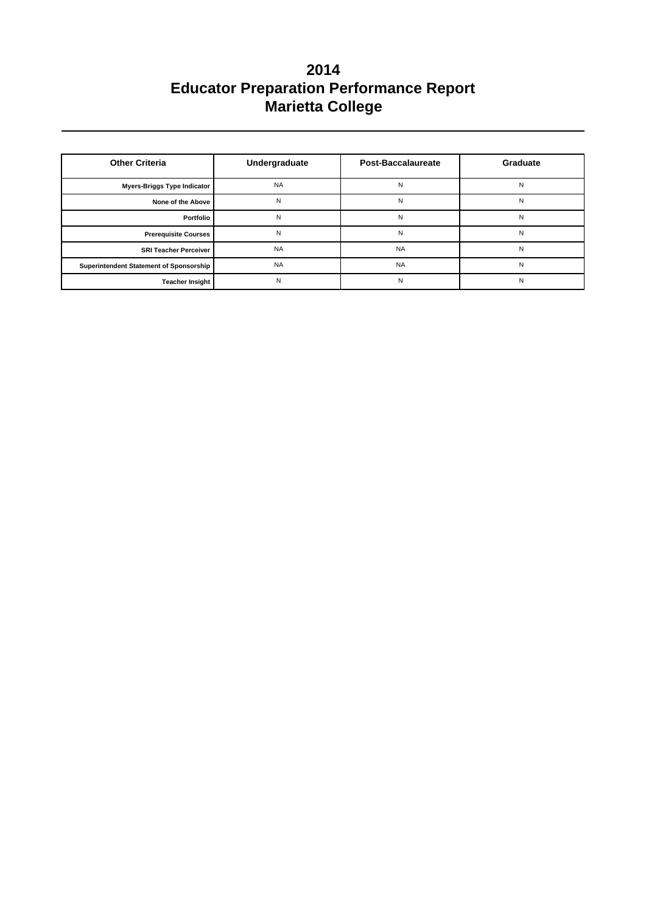| <b>Other Criteria</b>                   | Undergraduate | Post-Baccalaureate | Graduate |
|-----------------------------------------|---------------|--------------------|----------|
| <b>Myers-Briggs Type Indicator</b>      | <b>NA</b>     | N                  | N        |
| None of the Above                       | N             | N                  | N        |
| Portfolio                               | N             | N                  | N        |
| <b>Prerequisite Courses</b>             | N             | N                  | N        |
| <b>SRI Teacher Perceiver</b>            | <b>NA</b>     | <b>NA</b>          | N        |
| Superintendent Statement of Sponsorship | <b>NA</b>     | <b>NA</b>          | N        |
| <b>Teacher Insight</b>                  | N             | N                  | N        |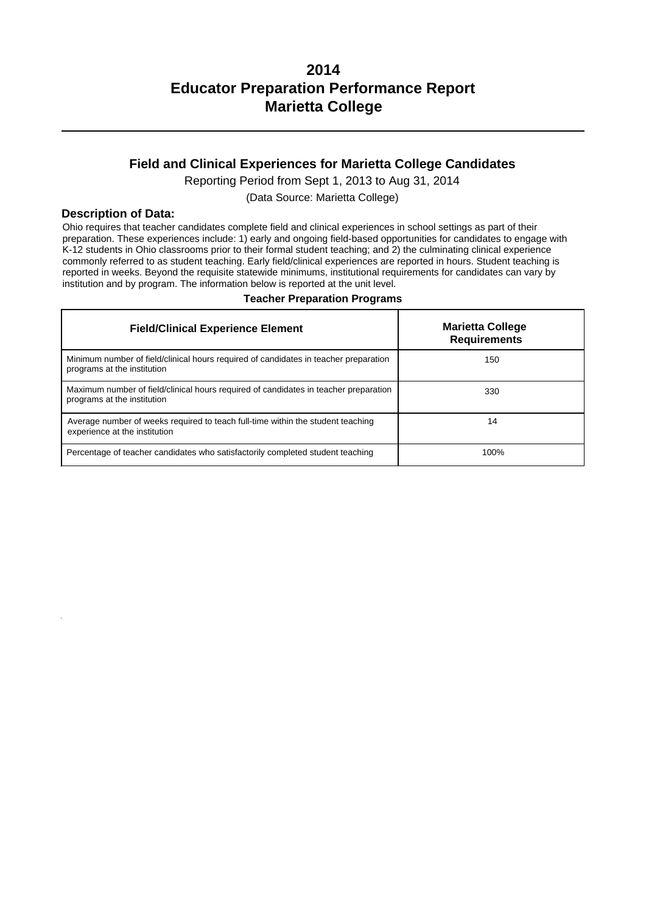## **Field and Clinical Experiences for Marietta College Candidates**

Reporting Period from Sept 1, 2013 to Aug 31, 2014

(Data Source: Marietta College)

#### **Description of Data:**

Ohio requires that teacher candidates complete field and clinical experiences in school settings as part of their preparation. These experiences include: 1) early and ongoing field-based opportunities for candidates to engage with K-12 students in Ohio classrooms prior to their formal student teaching; and 2) the culminating clinical experience commonly referred to as student teaching. Early field/clinical experiences are reported in hours. Student teaching is reported in weeks. Beyond the requisite statewide minimums, institutional requirements for candidates can vary by institution and by program. The information below is reported at the unit level.

| <b>Field/Clinical Experience Element</b>                                                                            | <b>Marietta College</b><br><b>Requirements</b> |
|---------------------------------------------------------------------------------------------------------------------|------------------------------------------------|
| Minimum number of field/clinical hours required of candidates in teacher preparation<br>programs at the institution | 150                                            |
| Maximum number of field/clinical hours required of candidates in teacher preparation<br>programs at the institution | 330                                            |
| Average number of weeks required to teach full-time within the student teaching<br>experience at the institution    | 14                                             |
| Percentage of teacher candidates who satisfactorily completed student teaching                                      | 100%                                           |

#### **Teacher Preparation Programs**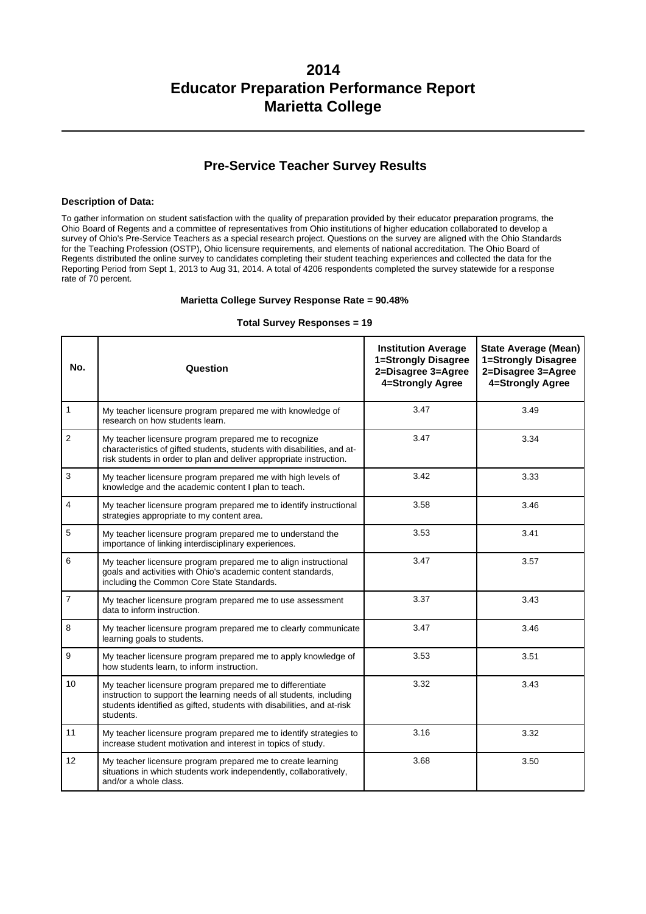## **Pre-Service Teacher Survey Results**

#### **Description of Data:**

To gather information on student satisfaction with the quality of preparation provided by their educator preparation programs, the Ohio Board of Regents and a committee of representatives from Ohio institutions of higher education collaborated to develop a survey of Ohio's Pre-Service Teachers as a special research project. Questions on the survey are aligned with the Ohio Standards for the Teaching Profession (OSTP), Ohio licensure requirements, and elements of national accreditation. The Ohio Board of Regents distributed the online survey to candidates completing their student teaching experiences and collected the data for the Reporting Period from Sept 1, 2013 to Aug 31, 2014. A total of 4206 respondents completed the survey statewide for a response rate of 70 percent.

#### **Marietta College Survey Response Rate = 90.48%**

#### **Total Survey Responses = 19**

| No.            | Question                                                                                                                                                                                                                 | <b>Institution Average</b><br>1=Strongly Disagree<br>2=Disagree 3=Agree<br>4=Strongly Agree | <b>State Average (Mean)</b><br>1=Strongly Disagree<br>2=Disagree 3=Agree<br>4=Strongly Agree |
|----------------|--------------------------------------------------------------------------------------------------------------------------------------------------------------------------------------------------------------------------|---------------------------------------------------------------------------------------------|----------------------------------------------------------------------------------------------|
| $\mathbf{1}$   | My teacher licensure program prepared me with knowledge of<br>research on how students learn.                                                                                                                            | 3.47                                                                                        | 3.49                                                                                         |
| $\overline{2}$ | My teacher licensure program prepared me to recognize<br>characteristics of gifted students, students with disabilities, and at-<br>risk students in order to plan and deliver appropriate instruction.                  | 3.47                                                                                        | 3.34                                                                                         |
| 3              | My teacher licensure program prepared me with high levels of<br>knowledge and the academic content I plan to teach.                                                                                                      | 3.42                                                                                        | 3.33                                                                                         |
| 4              | My teacher licensure program prepared me to identify instructional<br>strategies appropriate to my content area.                                                                                                         | 3.58                                                                                        | 3.46                                                                                         |
| 5              | My teacher licensure program prepared me to understand the<br>importance of linking interdisciplinary experiences.                                                                                                       | 3.53                                                                                        | 3.41                                                                                         |
| 6              | My teacher licensure program prepared me to align instructional<br>goals and activities with Ohio's academic content standards,<br>including the Common Core State Standards.                                            | 3.47                                                                                        | 3.57                                                                                         |
| $\overline{7}$ | My teacher licensure program prepared me to use assessment<br>data to inform instruction.                                                                                                                                | 3.37                                                                                        | 3.43                                                                                         |
| 8              | My teacher licensure program prepared me to clearly communicate<br>learning goals to students.                                                                                                                           | 3.47                                                                                        | 3.46                                                                                         |
| 9              | My teacher licensure program prepared me to apply knowledge of<br>how students learn, to inform instruction.                                                                                                             | 3.53                                                                                        | 3.51                                                                                         |
| 10             | My teacher licensure program prepared me to differentiate<br>instruction to support the learning needs of all students, including<br>students identified as gifted, students with disabilities, and at-risk<br>students. | 3.32                                                                                        | 3.43                                                                                         |
| 11             | My teacher licensure program prepared me to identify strategies to<br>increase student motivation and interest in topics of study.                                                                                       | 3.16                                                                                        | 3.32                                                                                         |
| 12             | My teacher licensure program prepared me to create learning<br>situations in which students work independently, collaboratively,<br>and/or a whole class.                                                                | 3.68                                                                                        | 3.50                                                                                         |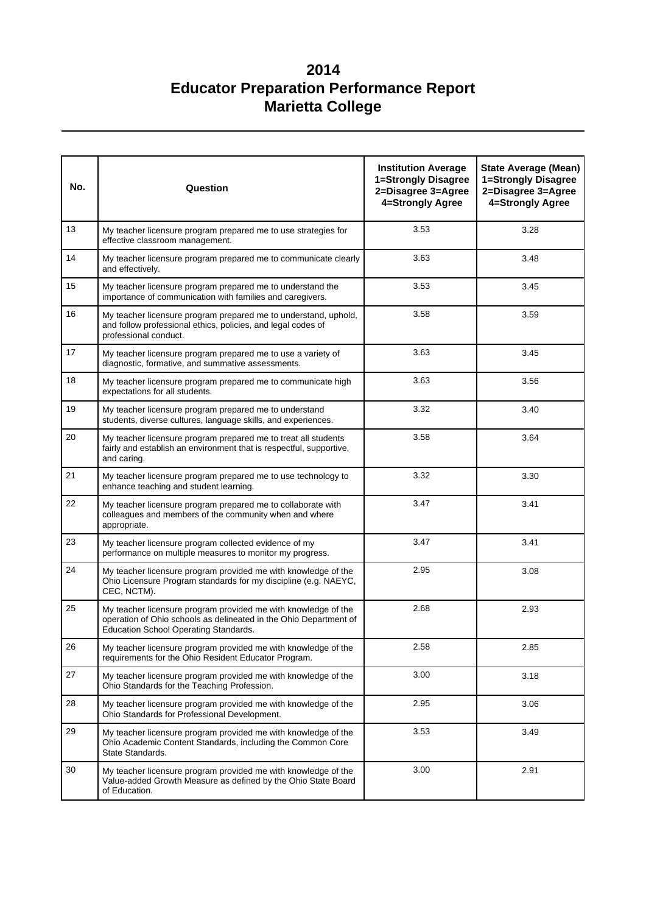| No. | Question                                                                                                                                                                     | <b>Institution Average</b><br>1=Strongly Disagree<br>2=Disagree 3=Agree<br>4=Strongly Agree | <b>State Average (Mean)</b><br>1=Strongly Disagree<br>2=Disagree 3=Agree<br>4=Strongly Agree |
|-----|------------------------------------------------------------------------------------------------------------------------------------------------------------------------------|---------------------------------------------------------------------------------------------|----------------------------------------------------------------------------------------------|
| 13  | My teacher licensure program prepared me to use strategies for<br>effective classroom management.                                                                            | 3.53                                                                                        | 3.28                                                                                         |
| 14  | My teacher licensure program prepared me to communicate clearly<br>and effectively.                                                                                          | 3.63                                                                                        | 3.48                                                                                         |
| 15  | My teacher licensure program prepared me to understand the<br>importance of communication with families and caregivers.                                                      | 3.53                                                                                        | 3.45                                                                                         |
| 16  | My teacher licensure program prepared me to understand, uphold,<br>and follow professional ethics, policies, and legal codes of<br>professional conduct.                     | 3.58                                                                                        | 3.59                                                                                         |
| 17  | My teacher licensure program prepared me to use a variety of<br>diagnostic, formative, and summative assessments.                                                            | 3.63                                                                                        | 3.45                                                                                         |
| 18  | My teacher licensure program prepared me to communicate high<br>expectations for all students.                                                                               | 3.63                                                                                        | 3.56                                                                                         |
| 19  | My teacher licensure program prepared me to understand<br>students, diverse cultures, language skills, and experiences.                                                      | 3.32                                                                                        | 3.40                                                                                         |
| 20  | My teacher licensure program prepared me to treat all students<br>fairly and establish an environment that is respectful, supportive,<br>and caring.                         | 3.58                                                                                        | 3.64                                                                                         |
| 21  | My teacher licensure program prepared me to use technology to<br>enhance teaching and student learning.                                                                      | 3.32                                                                                        | 3.30                                                                                         |
| 22  | My teacher licensure program prepared me to collaborate with<br>colleagues and members of the community when and where<br>appropriate.                                       | 3.47                                                                                        | 3.41                                                                                         |
| 23  | My teacher licensure program collected evidence of my<br>performance on multiple measures to monitor my progress.                                                            | 3.47                                                                                        | 3.41                                                                                         |
| 24  | My teacher licensure program provided me with knowledge of the<br>Ohio Licensure Program standards for my discipline (e.g. NAEYC,<br>CEC, NCTM).                             | 2.95                                                                                        | 3.08                                                                                         |
| 25  | My teacher licensure program provided me with knowledge of the<br>operation of Ohio schools as delineated in the Ohio Department of<br>Education School Operating Standards. | 2.68                                                                                        | 2.93                                                                                         |
| 26  | My teacher licensure program provided me with knowledge of the<br>requirements for the Ohio Resident Educator Program.                                                       | 2.58                                                                                        | 2.85                                                                                         |
| 27  | My teacher licensure program provided me with knowledge of the<br>Ohio Standards for the Teaching Profession.                                                                | 3.00                                                                                        | 3.18                                                                                         |
| 28  | My teacher licensure program provided me with knowledge of the<br>Ohio Standards for Professional Development.                                                               | 2.95                                                                                        | 3.06                                                                                         |
| 29  | My teacher licensure program provided me with knowledge of the<br>Ohio Academic Content Standards, including the Common Core<br>State Standards.                             | 3.53                                                                                        | 3.49                                                                                         |
| 30  | My teacher licensure program provided me with knowledge of the<br>Value-added Growth Measure as defined by the Ohio State Board<br>of Education.                             | 3.00                                                                                        | 2.91                                                                                         |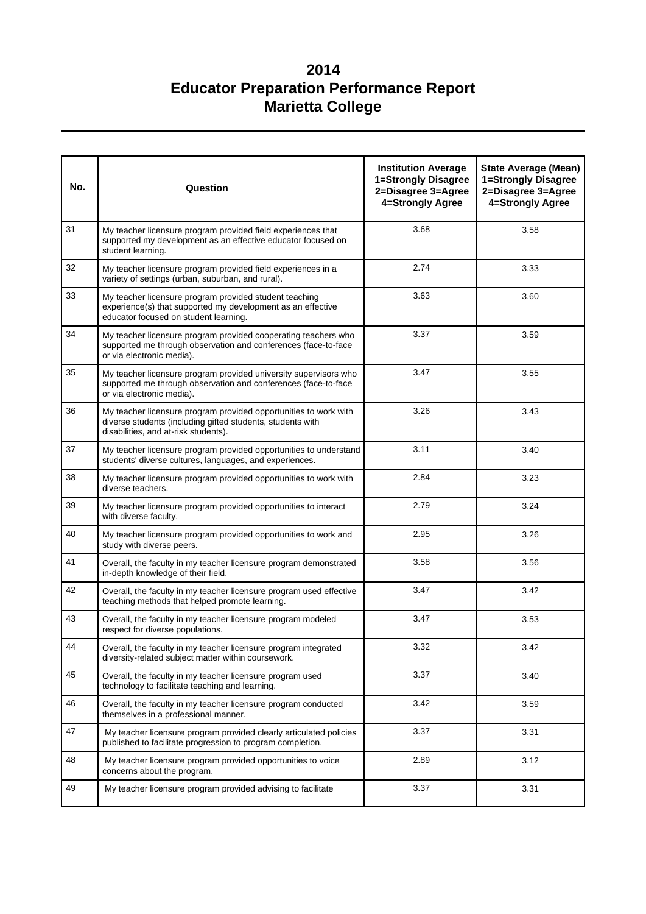| No. | Question                                                                                                                                                               | <b>Institution Average</b><br>1=Strongly Disagree<br>2=Disagree 3=Agree<br>4=Strongly Agree | <b>State Average (Mean)</b><br>1=Strongly Disagree<br>2=Disagree 3=Agree<br>4=Strongly Agree |
|-----|------------------------------------------------------------------------------------------------------------------------------------------------------------------------|---------------------------------------------------------------------------------------------|----------------------------------------------------------------------------------------------|
| 31  | My teacher licensure program provided field experiences that<br>supported my development as an effective educator focused on<br>student learning.                      | 3.68                                                                                        | 3.58                                                                                         |
| 32  | My teacher licensure program provided field experiences in a<br>variety of settings (urban, suburban, and rural).                                                      | 2.74                                                                                        | 3.33                                                                                         |
| 33  | My teacher licensure program provided student teaching<br>experience(s) that supported my development as an effective<br>educator focused on student learning.         | 3.63                                                                                        | 3.60                                                                                         |
| 34  | My teacher licensure program provided cooperating teachers who<br>supported me through observation and conferences (face-to-face<br>or via electronic media).          | 3.37                                                                                        | 3.59                                                                                         |
| 35  | My teacher licensure program provided university supervisors who<br>supported me through observation and conferences (face-to-face<br>or via electronic media).        | 3.47                                                                                        | 3.55                                                                                         |
| 36  | My teacher licensure program provided opportunities to work with<br>diverse students (including gifted students, students with<br>disabilities, and at-risk students). | 3.26                                                                                        | 3.43                                                                                         |
| 37  | My teacher licensure program provided opportunities to understand<br>students' diverse cultures, languages, and experiences.                                           | 3.11                                                                                        | 3.40                                                                                         |
| 38  | My teacher licensure program provided opportunities to work with<br>diverse teachers.                                                                                  | 2.84                                                                                        | 3.23                                                                                         |
| 39  | My teacher licensure program provided opportunities to interact<br>with diverse faculty.                                                                               | 2.79                                                                                        | 3.24                                                                                         |
| 40  | My teacher licensure program provided opportunities to work and<br>study with diverse peers.                                                                           | 2.95                                                                                        | 3.26                                                                                         |
| 41  | Overall, the faculty in my teacher licensure program demonstrated<br>in-depth knowledge of their field.                                                                | 3.58                                                                                        | 3.56                                                                                         |
| 42  | Overall, the faculty in my teacher licensure program used effective<br>teaching methods that helped promote learning.                                                  | 3.47                                                                                        | 3.42                                                                                         |
| 43  | Overall, the faculty in my teacher licensure program modeled<br>respect for diverse populations.                                                                       | 3.47                                                                                        | 3.53                                                                                         |
| 44  | Overall, the faculty in my teacher licensure program integrated<br>diversity-related subject matter within coursework.                                                 | 3.32                                                                                        | 3.42                                                                                         |
| 45  | Overall, the faculty in my teacher licensure program used<br>technology to facilitate teaching and learning.                                                           | 3.37                                                                                        | 3.40                                                                                         |
| 46  | Overall, the faculty in my teacher licensure program conducted<br>themselves in a professional manner.                                                                 | 3.42                                                                                        | 3.59                                                                                         |
| 47  | My teacher licensure program provided clearly articulated policies<br>published to facilitate progression to program completion.                                       | 3.37                                                                                        | 3.31                                                                                         |
| 48  | My teacher licensure program provided opportunities to voice<br>concerns about the program.                                                                            | 2.89                                                                                        | 3.12                                                                                         |
| 49  | My teacher licensure program provided advising to facilitate                                                                                                           | 3.37                                                                                        | 3.31                                                                                         |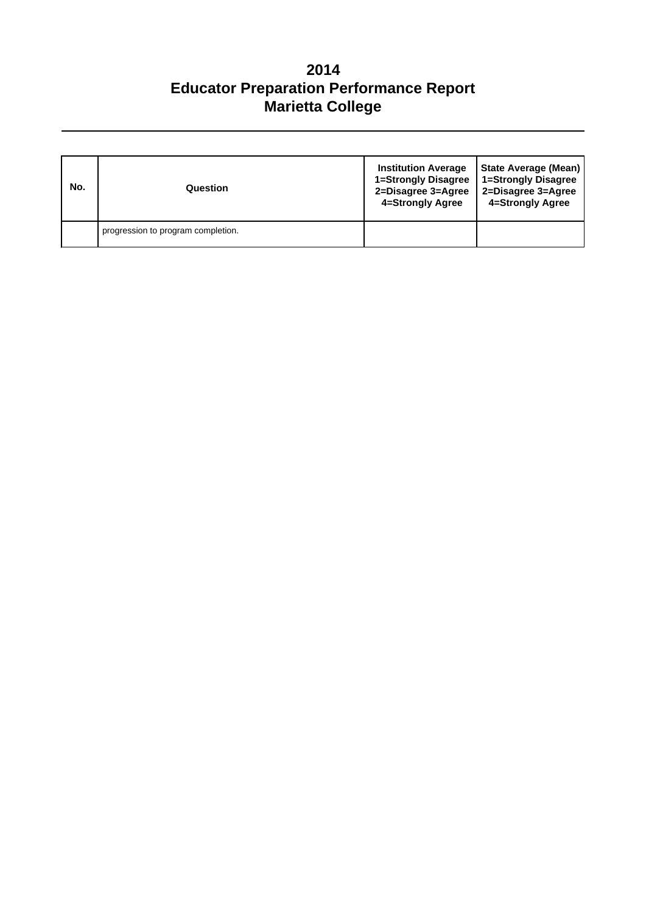| No. | Question                           | <b>Institution Average</b><br>1=Strongly Disagree<br>2=Disagree 3=Agree<br>4=Strongly Agree | State Average (Mean)<br>1=Strongly Disagree<br>2=Disagree 3=Agree<br>4=Strongly Agree |
|-----|------------------------------------|---------------------------------------------------------------------------------------------|---------------------------------------------------------------------------------------|
|     | progression to program completion. |                                                                                             |                                                                                       |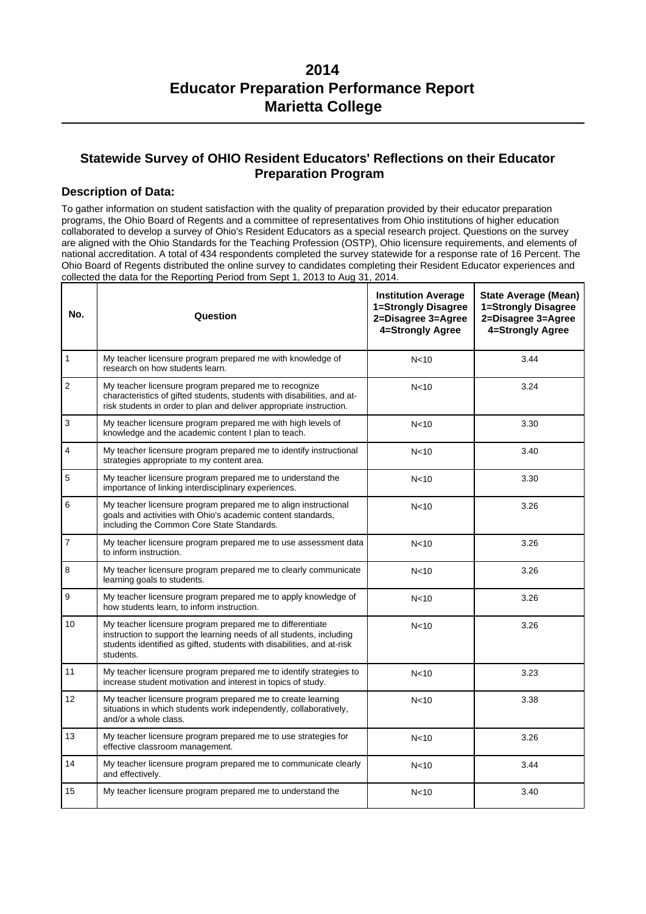## **Statewide Survey of OHIO Resident Educators' Reflections on their Educator Preparation Program**

### **Description of Data:**

To gather information on student satisfaction with the quality of preparation provided by their educator preparation programs, the Ohio Board of Regents and a committee of representatives from Ohio institutions of higher education collaborated to develop a survey of Ohio's Resident Educators as a special research project. Questions on the survey are aligned with the Ohio Standards for the Teaching Profession (OSTP), Ohio licensure requirements, and elements of national accreditation. A total of 434 respondents completed the survey statewide for a response rate of 16 Percent. The Ohio Board of Regents distributed the online survey to candidates completing their Resident Educator experiences and collected the data for the Reporting Period from Sept 1, 2013 to Aug 31, 2014.

| No.            | Question                                                                                                                                                                                                                 | <b>Institution Average</b><br>1=Strongly Disagree<br>2=Disagree 3=Agree<br>4=Strongly Agree | <b>State Average (Mean)</b><br>1=Strongly Disagree<br>2=Disagree 3=Agree<br>4=Strongly Agree |
|----------------|--------------------------------------------------------------------------------------------------------------------------------------------------------------------------------------------------------------------------|---------------------------------------------------------------------------------------------|----------------------------------------------------------------------------------------------|
| 1              | My teacher licensure program prepared me with knowledge of<br>research on how students learn.                                                                                                                            | N <sub>10</sub>                                                                             | 3.44                                                                                         |
| $\overline{c}$ | My teacher licensure program prepared me to recognize<br>characteristics of gifted students, students with disabilities, and at-<br>risk students in order to plan and deliver appropriate instruction.                  | N <sub>10</sub>                                                                             | 3.24                                                                                         |
| 3              | My teacher licensure program prepared me with high levels of<br>knowledge and the academic content I plan to teach.                                                                                                      | N <sub>10</sub>                                                                             | 3.30                                                                                         |
| 4              | My teacher licensure program prepared me to identify instructional<br>strategies appropriate to my content area.                                                                                                         | N <sub>10</sub>                                                                             | 3.40                                                                                         |
| 5              | My teacher licensure program prepared me to understand the<br>importance of linking interdisciplinary experiences.                                                                                                       | N <sub>10</sub>                                                                             | 3.30                                                                                         |
| 6              | My teacher licensure program prepared me to align instructional<br>goals and activities with Ohio's academic content standards,<br>including the Common Core State Standards.                                            | N <sub>10</sub>                                                                             | 3.26                                                                                         |
| $\overline{7}$ | My teacher licensure program prepared me to use assessment data<br>to inform instruction.                                                                                                                                | N <sub>10</sub>                                                                             | 3.26                                                                                         |
| 8              | My teacher licensure program prepared me to clearly communicate<br>learning goals to students.                                                                                                                           | N <sub>10</sub>                                                                             | 3.26                                                                                         |
| 9              | My teacher licensure program prepared me to apply knowledge of<br>how students learn, to inform instruction.                                                                                                             | N <sub>10</sub>                                                                             | 3.26                                                                                         |
| 10             | My teacher licensure program prepared me to differentiate<br>instruction to support the learning needs of all students, including<br>students identified as gifted, students with disabilities, and at-risk<br>students. | N <sub>10</sub>                                                                             | 3.26                                                                                         |
| 11             | My teacher licensure program prepared me to identify strategies to<br>increase student motivation and interest in topics of study.                                                                                       | N <sub>10</sub>                                                                             | 3.23                                                                                         |
| 12             | My teacher licensure program prepared me to create learning<br>situations in which students work independently, collaboratively,<br>and/or a whole class.                                                                | N <sub>10</sub>                                                                             | 3.38                                                                                         |
| 13             | My teacher licensure program prepared me to use strategies for<br>effective classroom management.                                                                                                                        | N <sub>10</sub>                                                                             | 3.26                                                                                         |
| 14             | My teacher licensure program prepared me to communicate clearly<br>and effectively.                                                                                                                                      | N <sub>10</sub>                                                                             | 3.44                                                                                         |
| 15             | My teacher licensure program prepared me to understand the                                                                                                                                                               | N <sub>10</sub>                                                                             | 3.40                                                                                         |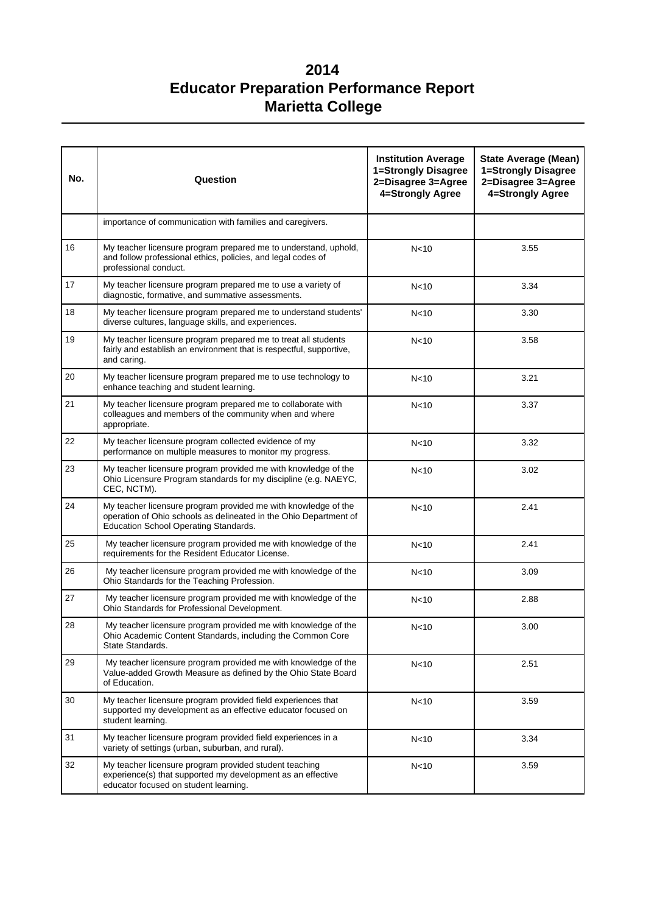| No. | Question                                                                                                                                                                     | <b>Institution Average</b><br>1=Strongly Disagree<br>2=Disagree 3=Agree<br>4=Strongly Agree | <b>State Average (Mean)</b><br>1=Strongly Disagree<br>2=Disagree 3=Agree<br>4=Strongly Agree |  |
|-----|------------------------------------------------------------------------------------------------------------------------------------------------------------------------------|---------------------------------------------------------------------------------------------|----------------------------------------------------------------------------------------------|--|
|     | importance of communication with families and caregivers.                                                                                                                    |                                                                                             |                                                                                              |  |
| 16  | My teacher licensure program prepared me to understand, uphold,<br>and follow professional ethics, policies, and legal codes of<br>professional conduct.                     | N <sub>10</sub>                                                                             | 3.55                                                                                         |  |
| 17  | My teacher licensure program prepared me to use a variety of<br>diagnostic, formative, and summative assessments.                                                            | N<10                                                                                        | 3.34                                                                                         |  |
| 18  | My teacher licensure program prepared me to understand students'<br>diverse cultures, language skills, and experiences.                                                      | N <sub>10</sub>                                                                             | 3.30                                                                                         |  |
| 19  | My teacher licensure program prepared me to treat all students<br>fairly and establish an environment that is respectful, supportive,<br>and caring.                         | N <sub>10</sub>                                                                             | 3.58                                                                                         |  |
| 20  | My teacher licensure program prepared me to use technology to<br>enhance teaching and student learning.                                                                      | N <sub>10</sub>                                                                             | 3.21                                                                                         |  |
| 21  | My teacher licensure program prepared me to collaborate with<br>colleagues and members of the community when and where<br>appropriate.                                       | N <sub>10</sub>                                                                             | 3.37                                                                                         |  |
| 22  | My teacher licensure program collected evidence of my<br>performance on multiple measures to monitor my progress.                                                            | N <sub>10</sub>                                                                             | 3.32                                                                                         |  |
| 23  | My teacher licensure program provided me with knowledge of the<br>Ohio Licensure Program standards for my discipline (e.g. NAEYC,<br>CEC, NCTM).                             | N <sub>10</sub>                                                                             | 3.02                                                                                         |  |
| 24  | My teacher licensure program provided me with knowledge of the<br>operation of Ohio schools as delineated in the Ohio Department of<br>Education School Operating Standards. | N<10                                                                                        | 2.41                                                                                         |  |
| 25  | My teacher licensure program provided me with knowledge of the<br>requirements for the Resident Educator License.                                                            | N<10                                                                                        | 2.41                                                                                         |  |
| 26  | My teacher licensure program provided me with knowledge of the<br>Ohio Standards for the Teaching Profession.                                                                | N<10                                                                                        | 3.09                                                                                         |  |
| 27  | My teacher licensure program provided me with knowledge of the<br>Ohio Standards for Professional Development.                                                               | N <sub>10</sub>                                                                             | 2.88                                                                                         |  |
| 28  | My teacher licensure program provided me with knowledge of the<br>Ohio Academic Content Standards, including the Common Core<br>State Standards.                             | N<10                                                                                        | 3.00                                                                                         |  |
| 29  | My teacher licensure program provided me with knowledge of the<br>Value-added Growth Measure as defined by the Ohio State Board<br>of Education.                             | N<10                                                                                        | 2.51                                                                                         |  |
| 30  | My teacher licensure program provided field experiences that<br>supported my development as an effective educator focused on<br>student learning.                            | N <sub>10</sub>                                                                             | 3.59                                                                                         |  |
| 31  | My teacher licensure program provided field experiences in a<br>variety of settings (urban, suburban, and rural).                                                            | N<10                                                                                        | 3.34                                                                                         |  |
| 32  | My teacher licensure program provided student teaching<br>experience(s) that supported my development as an effective<br>educator focused on student learning.               | N <sub>10</sub>                                                                             | 3.59                                                                                         |  |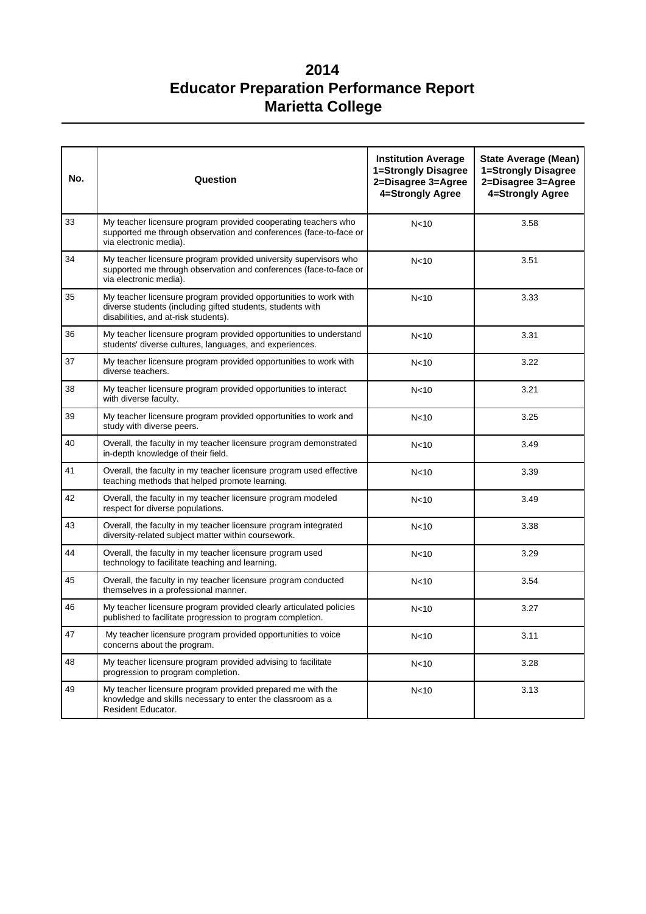| No. | Question                                                                                                                                                               | <b>Institution Average</b><br>1=Strongly Disagree<br>2=Disagree 3=Agree<br>4=Strongly Agree | <b>State Average (Mean)</b><br>1=Strongly Disagree<br>2=Disagree 3=Agree<br>4=Strongly Agree |
|-----|------------------------------------------------------------------------------------------------------------------------------------------------------------------------|---------------------------------------------------------------------------------------------|----------------------------------------------------------------------------------------------|
| 33  | My teacher licensure program provided cooperating teachers who<br>supported me through observation and conferences (face-to-face or<br>via electronic media).          | N <sub>10</sub>                                                                             | 3.58                                                                                         |
| 34  | My teacher licensure program provided university supervisors who<br>supported me through observation and conferences (face-to-face or<br>via electronic media).        | N <sub>10</sub>                                                                             | 3.51                                                                                         |
| 35  | My teacher licensure program provided opportunities to work with<br>diverse students (including gifted students, students with<br>disabilities, and at-risk students). | N <sub>10</sub>                                                                             | 3.33                                                                                         |
| 36  | My teacher licensure program provided opportunities to understand<br>students' diverse cultures, languages, and experiences.                                           | N <sub>10</sub>                                                                             | 3.31                                                                                         |
| 37  | My teacher licensure program provided opportunities to work with<br>diverse teachers.                                                                                  | N <sub>10</sub>                                                                             | 3.22                                                                                         |
| 38  | My teacher licensure program provided opportunities to interact<br>with diverse faculty.                                                                               | N <sub>10</sub>                                                                             | 3.21                                                                                         |
| 39  | My teacher licensure program provided opportunities to work and<br>study with diverse peers.                                                                           | N <sub>10</sub>                                                                             | 3.25                                                                                         |
| 40  | Overall, the faculty in my teacher licensure program demonstrated<br>in-depth knowledge of their field.                                                                | N <sub>10</sub>                                                                             | 3.49                                                                                         |
| 41  | Overall, the faculty in my teacher licensure program used effective<br>teaching methods that helped promote learning.                                                  | N <sub>10</sub>                                                                             | 3.39                                                                                         |
| 42  | Overall, the faculty in my teacher licensure program modeled<br>respect for diverse populations.                                                                       | N <sub>10</sub>                                                                             | 3.49                                                                                         |
| 43  | Overall, the faculty in my teacher licensure program integrated<br>diversity-related subject matter within coursework.                                                 | N <sub>10</sub>                                                                             | 3.38                                                                                         |
| 44  | Overall, the faculty in my teacher licensure program used<br>technology to facilitate teaching and learning.                                                           | N <sub>10</sub>                                                                             | 3.29                                                                                         |
| 45  | Overall, the faculty in my teacher licensure program conducted<br>themselves in a professional manner.                                                                 | N <sub>10</sub>                                                                             | 3.54                                                                                         |
| 46  | My teacher licensure program provided clearly articulated policies<br>published to facilitate progression to program completion.                                       | N <sub>10</sub>                                                                             | 3.27                                                                                         |
| 47  | My teacher licensure program provided opportunities to voice<br>concerns about the program.                                                                            | N <sub>10</sub>                                                                             | 3.11                                                                                         |
| 48  | My teacher licensure program provided advising to facilitate<br>progression to program completion.                                                                     | N <sub>10</sub>                                                                             | 3.28                                                                                         |
| 49  | My teacher licensure program provided prepared me with the<br>knowledge and skills necessary to enter the classroom as a<br>Resident Educator.                         | N <sub>10</sub>                                                                             | 3.13                                                                                         |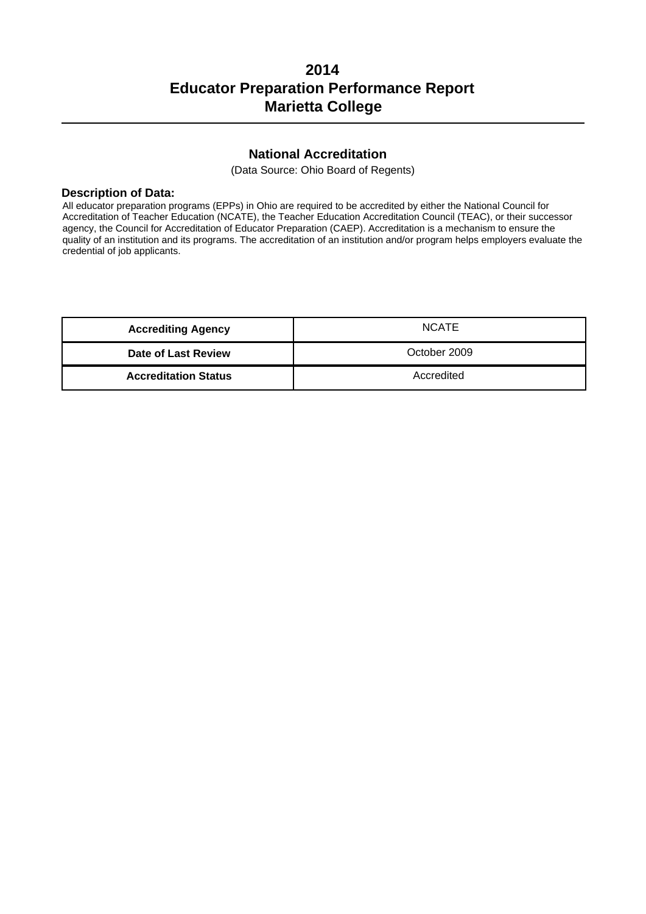## **National Accreditation**

(Data Source: Ohio Board of Regents)

#### **Description of Data:**

All educator preparation programs (EPPs) in Ohio are required to be accredited by either the National Council for Accreditation of Teacher Education (NCATE), the Teacher Education Accreditation Council (TEAC), or their successor agency, the Council for Accreditation of Educator Preparation (CAEP). Accreditation is a mechanism to ensure the quality of an institution and its programs. The accreditation of an institution and/or program helps employers evaluate the credential of job applicants.

| <b>Accrediting Agency</b>   | <b>NCATE</b> |
|-----------------------------|--------------|
| <b>Date of Last Review</b>  | October 2009 |
| <b>Accreditation Status</b> | Accredited   |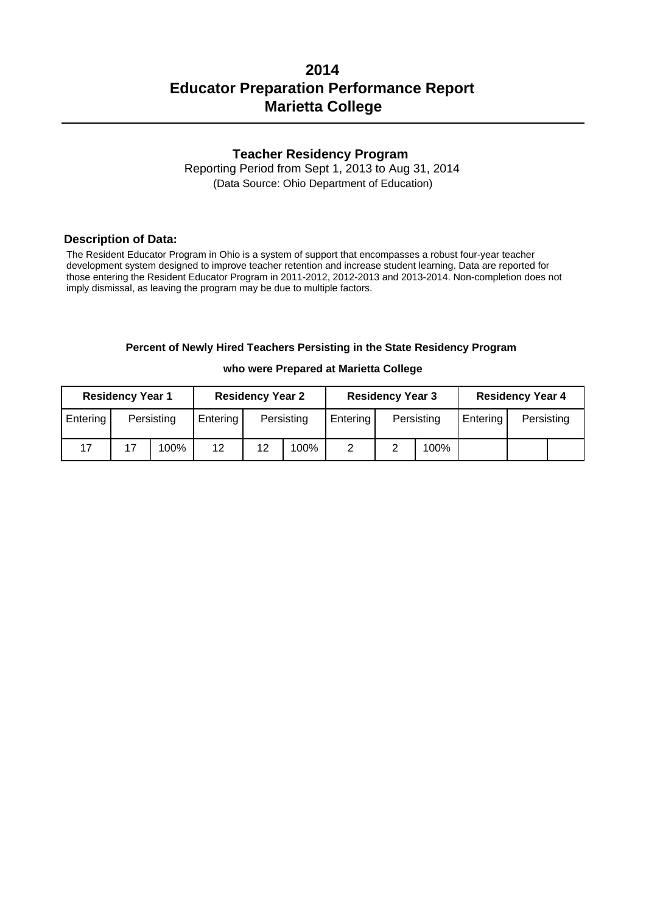## **Teacher Residency Program**

Reporting Period from Sept 1, 2013 to Aug 31, 2014 (Data Source: Ohio Department of Education)

#### **Description of Data:**

The Resident Educator Program in Ohio is a system of support that encompasses a robust four-year teacher development system designed to improve teacher retention and increase student learning. Data are reported for those entering the Resident Educator Program in 2011-2012, 2012-2013 and 2013-2014. Non-completion does not imply dismissal, as leaving the program may be due to multiple factors.

#### **Percent of Newly Hired Teachers Persisting in the State Residency Program**

#### **who were Prepared at Marietta College**

| <b>Residency Year 1</b> |    |            |          | <b>Residency Year 2</b> |            |          | <b>Residency Year 3</b> |            |          | <b>Residency Year 4</b> |  |
|-------------------------|----|------------|----------|-------------------------|------------|----------|-------------------------|------------|----------|-------------------------|--|
| Entering                |    | Persisting | Entering |                         | Persisting | Entering |                         | Persisting | Entering | Persisting              |  |
| 17                      | 17 | 100%       | 12       | 12                      | 100%       |          |                         | 100%       |          |                         |  |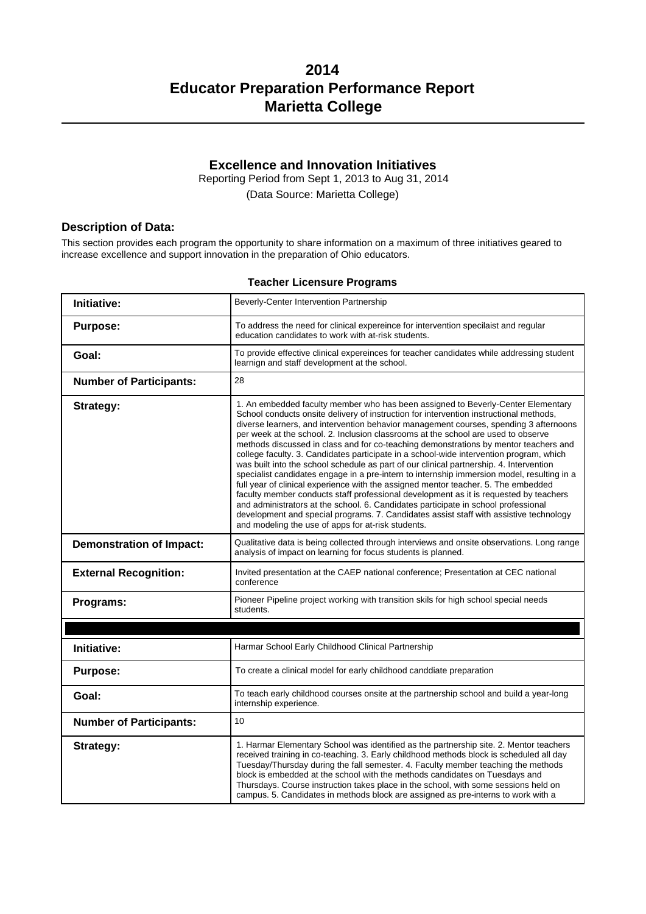## **Excellence and Innovation Initiatives**

Reporting Period from Sept 1, 2013 to Aug 31, 2014 (Data Source: Marietta College)

### **Description of Data:**

This section provides each program the opportunity to share information on a maximum of three initiatives geared to increase excellence and support innovation in the preparation of Ohio educators.

#### **Teacher Licensure Programs**

| Initiative:                     | Beverly-Center Intervention Partnership                                                                                                                                                                                                                                                                                                                                                                                                                                                                                                                                                                                                                                                                                                                                                                                                                                                                                                                                                                                                                                                                                                                   |
|---------------------------------|-----------------------------------------------------------------------------------------------------------------------------------------------------------------------------------------------------------------------------------------------------------------------------------------------------------------------------------------------------------------------------------------------------------------------------------------------------------------------------------------------------------------------------------------------------------------------------------------------------------------------------------------------------------------------------------------------------------------------------------------------------------------------------------------------------------------------------------------------------------------------------------------------------------------------------------------------------------------------------------------------------------------------------------------------------------------------------------------------------------------------------------------------------------|
| <b>Purpose:</b>                 | To address the need for clinical expereince for intervention specilaist and regular<br>education candidates to work with at-risk students.                                                                                                                                                                                                                                                                                                                                                                                                                                                                                                                                                                                                                                                                                                                                                                                                                                                                                                                                                                                                                |
| Goal:                           | To provide effective clinical expereinces for teacher candidates while addressing student<br>learnign and staff development at the school.                                                                                                                                                                                                                                                                                                                                                                                                                                                                                                                                                                                                                                                                                                                                                                                                                                                                                                                                                                                                                |
| <b>Number of Participants:</b>  | 28                                                                                                                                                                                                                                                                                                                                                                                                                                                                                                                                                                                                                                                                                                                                                                                                                                                                                                                                                                                                                                                                                                                                                        |
| Strategy:                       | 1. An embedded faculty member who has been assigned to Beverly-Center Elementary<br>School conducts onsite delivery of instruction for intervention instructional methods,<br>diverse learners, and intervention behavior management courses, spending 3 afternoons<br>per week at the school. 2. Inclusion classrooms at the school are used to observe<br>methods discussed in class and for co-teaching demonstrations by mentor teachers and<br>college faculty. 3. Candidates participate in a school-wide intervention program, which<br>was built into the school schedule as part of our clinical partnership. 4. Intervention<br>specialist candidates engage in a pre-intern to internship immersion model, resulting in a<br>full year of clinical experience with the assigned mentor teacher. 5. The embedded<br>faculty member conducts staff professional development as it is requested by teachers<br>and administrators at the school. 6. Candidates participate in school professional<br>development and special programs. 7. Candidates assist staff with assistive technology<br>and modeling the use of apps for at-risk students. |
| <b>Demonstration of Impact:</b> | Qualitative data is being collected through interviews and onsite observations. Long range<br>analysis of impact on learning for focus students is planned.                                                                                                                                                                                                                                                                                                                                                                                                                                                                                                                                                                                                                                                                                                                                                                                                                                                                                                                                                                                               |
| <b>External Recognition:</b>    | Invited presentation at the CAEP national conference; Presentation at CEC national<br>conference                                                                                                                                                                                                                                                                                                                                                                                                                                                                                                                                                                                                                                                                                                                                                                                                                                                                                                                                                                                                                                                          |
| Programs:                       | Pioneer Pipeline project working with transition skils for high school special needs<br>students.                                                                                                                                                                                                                                                                                                                                                                                                                                                                                                                                                                                                                                                                                                                                                                                                                                                                                                                                                                                                                                                         |
|                                 |                                                                                                                                                                                                                                                                                                                                                                                                                                                                                                                                                                                                                                                                                                                                                                                                                                                                                                                                                                                                                                                                                                                                                           |
| Initiative:                     | Harmar School Early Childhood Clinical Partnership                                                                                                                                                                                                                                                                                                                                                                                                                                                                                                                                                                                                                                                                                                                                                                                                                                                                                                                                                                                                                                                                                                        |
| <b>Purpose:</b>                 | To create a clinical model for early childhood canddiate preparation                                                                                                                                                                                                                                                                                                                                                                                                                                                                                                                                                                                                                                                                                                                                                                                                                                                                                                                                                                                                                                                                                      |
| Goal:                           | To teach early childhood courses onsite at the partnership school and build a year-long<br>internship experience.                                                                                                                                                                                                                                                                                                                                                                                                                                                                                                                                                                                                                                                                                                                                                                                                                                                                                                                                                                                                                                         |
| <b>Number of Participants:</b>  | 10                                                                                                                                                                                                                                                                                                                                                                                                                                                                                                                                                                                                                                                                                                                                                                                                                                                                                                                                                                                                                                                                                                                                                        |
| Strategy:                       | 1. Harmar Elementary School was identified as the partnership site. 2. Mentor teachers<br>received training in co-teaching. 3. Early childhood methods block is scheduled all day<br>Tuesday/Thursday during the fall semester. 4. Faculty member teaching the methods<br>block is embedded at the school with the methods candidates on Tuesdays and<br>Thursdays. Course instruction takes place in the school, with some sessions held on<br>campus. 5. Candidates in methods block are assigned as pre-interns to work with a                                                                                                                                                                                                                                                                                                                                                                                                                                                                                                                                                                                                                         |